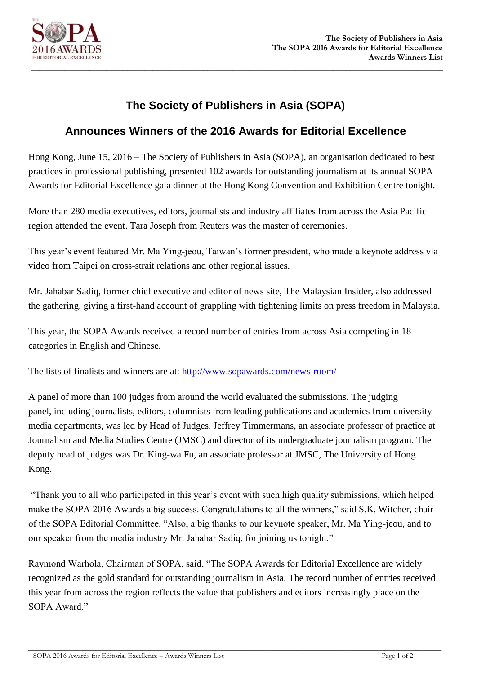

## **The Society of Publishers in Asia (SOPA)**

## **Announces Winners of the 2016 Awards for Editorial Excellence**

Hong Kong, June 15, 2016 – The Society of Publishers in Asia (SOPA), an organisation dedicated to best practices in professional publishing, presented 102 awards for outstanding journalism at its annual SOPA Awards for Editorial Excellence gala dinner at the Hong Kong Convention and Exhibition Centre tonight.

More than 280 media executives, editors, journalists and industry affiliates from across the Asia Pacific region attended the event. Tara Joseph from Reuters was the master of ceremonies.

This year's event featured Mr. Ma Ying-jeou, Taiwan's former president, who made a keynote address via video from Taipei on cross-strait relations and other regional issues.

Mr. Jahabar Sadiq, former chief executive and editor of news site, The Malaysian Insider, also addressed the gathering, giving a first-hand account of grappling with tightening limits on press freedom in Malaysia.

This year, the SOPA Awards received a record number of entries from across Asia competing in 18 categories in English and Chinese.

The lists of finalists and winners are at:<http://www.sopawards.com/news-room/>

A panel of more than 100 judges from around the world evaluated the submissions. The judging panel, including journalists, editors, columnists from leading publications and academics from university media departments, was led by Head of Judges, Jeffrey Timmermans, an associate professor of practice at Journalism and Media Studies Centre (JMSC) and director of its undergraduate journalism program. The deputy head of judges was Dr. King-wa Fu, an associate professor at JMSC, The University of Hong Kong.

"Thank you to all who participated in this year's event with such high quality submissions, which helped make the SOPA 2016 Awards a big success. Congratulations to all the winners," said S.K. Witcher, chair of the SOPA Editorial Committee. "Also, a big thanks to our keynote speaker, Mr. Ma Ying-jeou, and to our speaker from the media industry Mr. Jahabar Sadiq, for joining us tonight."

Raymond Warhola, Chairman of SOPA, said, "The SOPA Awards for Editorial Excellence are widely recognized as the gold standard for outstanding journalism in Asia. The record number of entries received this year from across the region reflects the value that publishers and editors increasingly place on the SOPA Award."

 $\_$  , and the set of the set of the set of the set of the set of the set of the set of the set of the set of the set of the set of the set of the set of the set of the set of the set of the set of the set of the set of th